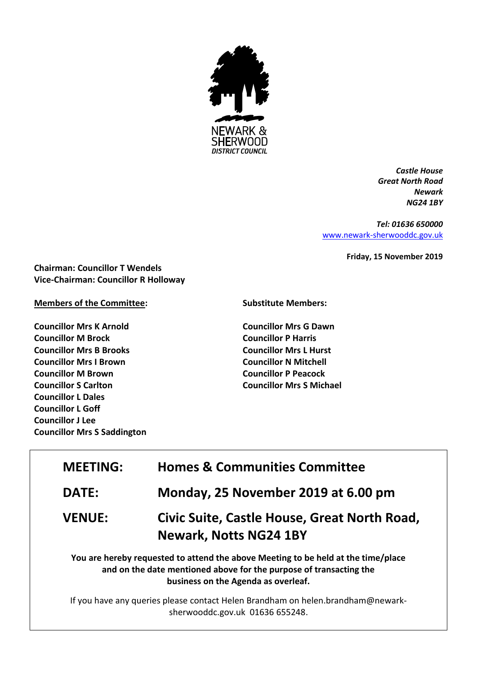

*Castle House Great North Road Newark NG24 1BY*

*Tel: 01636 650000* [www.newark-sherwooddc.gov.uk](http://www.newark-sherwooddc.gov.uk/)

**Friday, 15 November 2019**

**Chairman: Councillor T Wendels Vice-Chairman: Councillor R Holloway**

## **Members of the Committee:**

**Councillor Mrs K Arnold Councillor M Brock Councillor Mrs B Brooks Councillor Mrs I Brown Councillor M Brown Councillor S Carlton Councillor L Dales Councillor L Goff Councillor J Lee Councillor Mrs S Saddington**

## **Substitute Members:**

**Councillor Mrs G Dawn Councillor P Harris Councillor Mrs L Hurst Councillor N Mitchell Councillor P Peacock Councillor Mrs S Michael**

| <b>MEETING:</b> | <b>Homes &amp; Communities Committee</b>                                                                                                                                                       |  |
|-----------------|------------------------------------------------------------------------------------------------------------------------------------------------------------------------------------------------|--|
| <b>DATE:</b>    | Monday, 25 November 2019 at 6.00 pm                                                                                                                                                            |  |
| <b>VENUE:</b>   | Civic Suite, Castle House, Great North Road,<br><b>Newark, Notts NG24 1BY</b>                                                                                                                  |  |
|                 | You are hereby requested to attend the above Meeting to be held at the time/place<br>and on the date mentioned above for the purpose of transacting the<br>business on the Agenda as overleaf. |  |

If you have any queries please contact Helen Brandham on helen.brandham@newarksherwooddc.gov.uk 01636 655248.